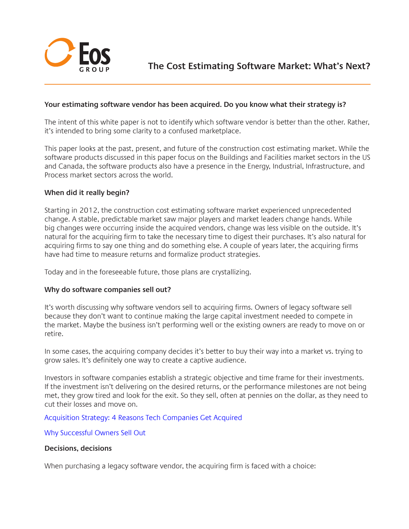

## **Your estimating software vendor has been acquired. Do you know what their strategy is?**

The intent of this white paper is not to identify which software vendor is better than the other. Rather, it's intended to bring some clarity to a confused marketplace.

This paper looks at the past, present, and future of the construction cost estimating market. While the software products discussed in this paper focus on the Buildings and Facilities market sectors in the US and Canada, the software products also have a presence in the Energy, Industrial, Infrastructure, and Process market sectors across the world.

### **When did it really begin?**

Starting in 2012, the construction cost estimating software market experienced unprecedented change. A stable, predictable market saw major players and market leaders change hands. While big changes were occurring inside the acquired vendors, change was less visible on the outside. It's natural for the acquiring firm to take the necessary time to digest their purchases. It's also natural for acquiring firms to say one thing and do something else. A couple of years later, the acquiring firms have had time to measure returns and formalize product strategies.

Today and in the foreseeable future, those plans are crystallizing.

### **Why do software companies sell out?**

It's worth discussing why software vendors sell to acquiring firms. Owners of legacy software sell because they don't want to continue making the large capital investment needed to compete in the market. Maybe the business isn't performing well or the existing owners are ready to move on or retire.

In some cases, the acquiring company decides it's better to buy their way into a market vs. trying to grow sales. It's definitely one way to create a captive audience.

Investors in software companies establish a strategic objective and time frame for their investments. If the investment isn't delivering on the desired returns, or the performance milestones are not being met, they grow tired and look for the exit. So they sell, often at pennies on the dollar, as they need to cut their losses and move on.

### [Acquisition Strategy: 4 Reasons Tech Companies Get Acquired](http://www.digitalistmag.com/industries/exit-strategy-4-reasons-tech-companies-get-acquired-025770)

[Why Successful Owners Sell Out](http://www.investopedia.com/articles/08/sell-side.asp)

### **Decisions, decisions**

When purchasing a legacy software vendor, the acquiring firm is faced with a choice: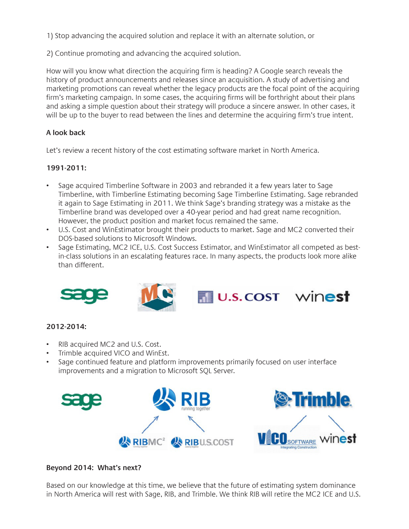1) Stop advancing the acquired solution and replace it with an alternate solution, or

2) Continue promoting and advancing the acquired solution.

How will you know what direction the acquiring firm is heading? A Google search reveals the history of product announcements and releases since an acquisition. A study of advertising and marketing promotions can reveal whether the legacy products are the focal point of the acquiring firm's marketing campaign. In some cases, the acquiring firms will be forthright about their plans and asking a simple question about their strategy will produce a sincere answer. In other cases, it will be up to the buyer to read between the lines and determine the acquiring firm's true intent.

# **A look back**

Let's review a recent history of the cost estimating software market in North America.

### **1991-2011:**

- Sage acquired Timberline Software in 2003 and rebranded it a few years later to Sage Timberline, with Timberline Estimating becoming Sage Timberline Estimating. Sage rebranded it again to Sage Estimating in 2011. We think Sage's branding strategy was a mistake as the Timberline brand was developed over a 40-year period and had great name recognition. However, the product position and market focus remained the same.
- U.S. Cost and WinEstimator brought their products to market. Sage and MC2 converted their DOS-based solutions to Microsoft Windows.
- Sage Estimating, MC2 ICE, U.S. Cost Success Estimator, and WinEstimator all competed as bestin-class solutions in an escalating features race. In many aspects, the products look more alike than different.



# **2012-2014:**

- RIB acquired MC2 and U.S. Cost.
- Trimble acquired VICO and WinEst.
- Sage continued feature and platform improvements primarily focused on user interface improvements and a migration to Microsoft SQL Server.



## **Beyond 2014: What's next?**

Based on our knowledge at this time, we believe that the future of estimating system dominance in North America will rest with Sage, RIB, and Trimble. We think RIB will retire the MC2 ICE and U.S.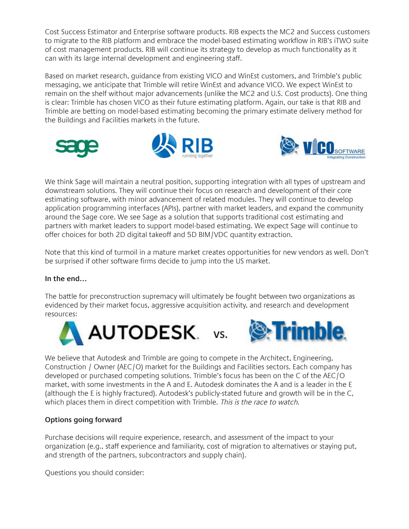Cost Success Estimator and Enterprise software products. RIB expects the MC2 and Success customers to migrate to the RIB platform and embrace the model-based estimating workflow in RIB's iTWO suite of cost management products. RIB will continue its strategy to develop as much functionality as it can with its large internal development and engineering staff.

Based on market research, guidance from existing VICO and WinEst customers, and Trimble's public messaging, we anticipate that Trimble will retire WinEst and advance VICO. We expect WinEst to remain on the shelf without major advancements (unlike the MC2 and U.S. Cost products). One thing is clear: Trimble has chosen VICO as their future estimating platform. Again, our take is that RIB and Trimble are betting on model-based estimating becoming the primary estimate delivery method for the Buildings and Facilities markets in the future.







We think Sage will maintain a neutral position, supporting integration with all types of upstream and downstream solutions. They will continue their focus on research and development of their core estimating software, with minor advancement of related modules. They will continue to develop application programming interfaces (APIs), partner with market leaders, and expand the community around the Sage core. We see Sage as a solution that supports traditional cost estimating and partners with market leaders to support model-based estimating. We expect Sage will continue to offer choices for both 2D digital takeoff and 5D BIM/VDC quantity extraction.

Note that this kind of turmoil in a mature market creates opportunities for new vendors as well. Don't be surprised if other software firms decide to jump into the US market.

# **In the end…**

The battle for preconstruction supremacy will ultimately be fought between two organizations as evidenced by their market focus, aggressive acquisition activity, and research and development resources:





We believe that Autodesk and Trimble are going to compete in the Architect, Engineering, Construction / Owner (AEC/O) market for the Buildings and Facilities sectors. Each company has developed or purchased competing solutions. Trimble's focus has been on the C of the AEC/O market, with some investments in the A and E. Autodesk dominates the A and is a leader in the E (although the E is highly fractured). Autodesk's publicly-stated future and growth will be in the C, which places them in direct competition with Trimble. This is the race to watch.

# **Options going forward**

Purchase decisions will require experience, research, and assessment of the impact to your organization (e.g., staff experience and familiarity, cost of migration to alternatives or staying put, and strength of the partners, subcontractors and supply chain).

Questions you should consider: